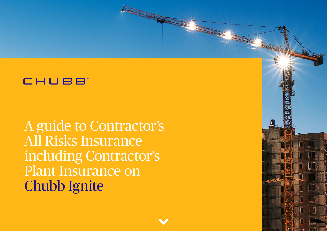A guide to Contractor's All Risks Insurance including Contractor's Plant Insurance on Chubb Ignite

and the state of the state of the state of the state of the state of the state of the state of the state of the state of the state of the state of the state of the state of the state of the state of the state of the state



**TANK**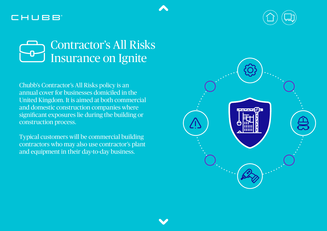



Chubb's Contractor's All Risks policy is an annual cover for businesses domiciled in the United Kingdom. It is aimed at both commercial and domestic construction companies where significant exposures lie during the building or construction process.

Typical customers will be commercial building contractors who may also use contractor's plant and equipment in their day-to-day business.

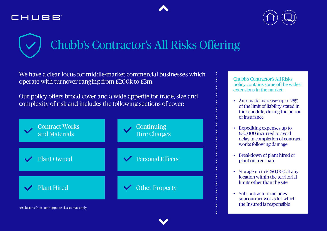



# Chubb's Contractor's All Risks Offering

We have a clear focus for middle-market commercial businesses which operate with turnover ranging from £200k to £3m.

Our policy offers broad cover and a wide appetite for trade, size and complexity of risk and includes the following sections of cover:



Chubb's Contractor's All Risks policy contains some of the widest extensions in the market:

- Automatic increase: up to 25% of the limit of liability stated in the schedule, during the period of insurance
- Expediting expenses up to £50,000 incurred to avoid delay in completion of contract works following damage
- Breakdown of plant hired or plant on free loan
- Storage up to £250,000 at any location within the territorial limits other than the site
- Subcontractors includes subcontract works for which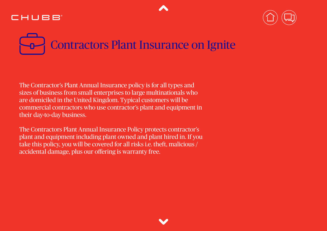

# Contractors Plant Insurance on Ignite

The Contractor's Plant Annual Insurance policy is for all types and sizes of business from small enterprises to large multinationals who are domiciled in the United Kingdom. Typical customers will be commercial contractors who use contractor's plant and equipment in their day-to-day business.

The Contractors Plant Annual Insurance Policy protects contractor's plant and equipment including plant owned and plant hired in. If you take this policy, you will be covered for all risks i.e. theft, malicious / accidental damage, plus our offering is warranty free.

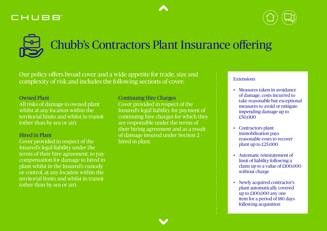# Chubb's Contractors Plant Insurance offering

Our policy offers broad cover and a wide appetite for trade, size and complexity of risk and includes the following sections of cover:

### Owned Plant

All risks of damage to owned plant whilst at any location within the territorial limits and whilst in transit (other than by sea or air).

### Hired in Plant

Cover provided in respect of the Insured's legal liability under the terms of their hire agreement, to pay compensation for damage to hired in plant whilst in the Insured's custody or control, at any location within the territorial limits and whilst in transit (other than by sea or air).

Continuing Hire Charges Cover provided in respect of the Insured's legal liability for payment of continuing hire charges for which they are responsible under the terms of their hiring agreement and as a result of damage insured under Section 2 – hired in plant.

### Extensions

- Measures taken in avoidance of damage, costs incurred to take reasonable but exceptional measures to avoid or mitigate impending damage up to £50,000
- Contractors plant immobilisation pays reasonable costs to recover plant up to £25,000
- Automatic reinstatement of limit of liability following a claim up to a value of £100,000 without charge
- Newly acquired contractor's plant automatically covered up to £100,000 any one item for a period of 180 days following acquisition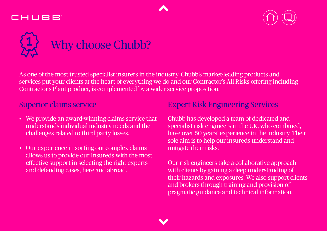



# Why choose Chubb?

As one of the most trusted specialist insurers in the industry, Chubb's market-leading products and services put your clients at the heart of everything we do and our Contractor's All Risks offering including Contractor's Plant product, is complemented by a wider service proposition.

- We provide an award-winning claims service that understands individual industry needs and the challenges related to third party losses.
- Our experience in sorting out complex claims allows us to provide our Insureds with the most effective support in selecting the right experts and defending cases, here and abroad.

### Superior claims service Expert Risk Engineering Services

Chubb has developed a team of dedicated and specialist risk engineers in the UK, who combined, have over 50 years' experience in the industry. Their sole aim is to help our insureds understand and mitigate their risks.

Our risk engineers take a collaborative approach with clients by gaining a deep understanding of their hazards and exposures. We also support clients and brokers through training and provision of pragmatic guidance and technical information.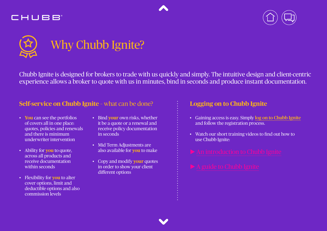





Chubb Ignite is designed for brokers to trade with us quickly and simply. The intuitive design and client-centric experience allows a broker to quote with us in minutes, bind in seconds and produce instant documentation.

### **Self-service on Chubb Ignite** - what can be done? **Logging on to Chubb Ignite**

- **You** can see the portfolios of covers all in one place: quotes, policies and renewals and there is minimum underwriter intervention
- Ability for **you** to quote, across all products and receive documentation within seconds
- Flexibility for **you** to alter cover options, limit and deductible options and also commission levels
- Bind **your** own risks, whether it be a quote or a renewal and receive policy documentation in seconds
- Mid Term Adjustments are also available for **you** to make
- Copy and modify **your** quotes in order to show your client different options

- Gaining access is easy. Simply [log on to Chubb Ignite](https://ignite.uk.chubb.com/) and follow the registration process.
- Watch our short training videos to find out how to use Chubb Ignite: